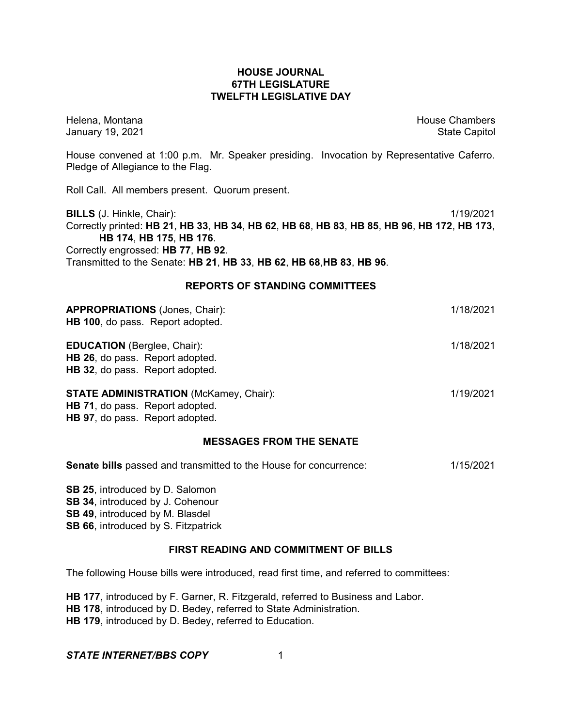### **HOUSE JOURNAL 67TH LEGISLATURE TWELFTH LEGISLATIVE DAY**

Helena, Montana House Chambers Chambers Chambers and House Chambers Chambers Chambers Chambers Chambers Chambers Chambers Chambers Chambers Chambers Chambers Chambers Chambers Chambers Chambers Chambers Chambers Chambers C January 19, 2021 **State Capitol** 

House convened at 1:00 p.m. Mr. Speaker presiding. Invocation by Representative Caferro. Pledge of Allegiance to the Flag.

Roll Call. All members present. Quorum present.

**BILLS** (J. Hinkle, Chair): 1/19/2021 Correctly printed: HB 21, HB 33, HB 34, HB 62, HB 68, HB 83, HB 85, HB 96, HB 172, HB 173, **HB 174**, **HB 175**, **HB 176**. Correctly engrossed: **HB 77**, **HB 92**. Transmitted to the Senate: **HB 21**, **HB 33**, **HB 62**, **HB 68**,**HB 83**, **HB 96**.

#### **REPORTS OF STANDING COMMITTEES**

| <b>APPROPRIATIONS (Jones, Chair):</b><br>HB 100, do pass. Report adopted.                                                  | 1/18/2021 |
|----------------------------------------------------------------------------------------------------------------------------|-----------|
| <b>EDUCATION</b> (Berglee, Chair):<br>HB 26, do pass. Report adopted.<br>HB 32, do pass. Report adopted.                   | 1/18/2021 |
| <b>STATE ADMINISTRATION (McKamey, Chair):</b><br><b>HB 71, do pass. Report adopted.</b><br>HB 97, do pass. Report adopted. | 1/19/2021 |

### **MESSAGES FROM THE SENATE**

| <b>Senate bills</b> passed and transmitted to the House for concurrence: | 1/15/2021 |
|--------------------------------------------------------------------------|-----------|
|--------------------------------------------------------------------------|-----------|

**SB 25**, introduced by D. Salomon **SB 34**, introduced by J. Cohenour **SB 49**, introduced by M. Blasdel **SB 66**, introduced by S. Fitzpatrick

#### **FIRST READING AND COMMITMENT OF BILLS**

The following House bills were introduced, read first time, and referred to committees:

**HB 177**, introduced by F. Garner, R. Fitzgerald, referred to Business and Labor. **HB 178**, introduced by D. Bedey, referred to State Administration. **HB 179**, introduced by D. Bedey, referred to Education.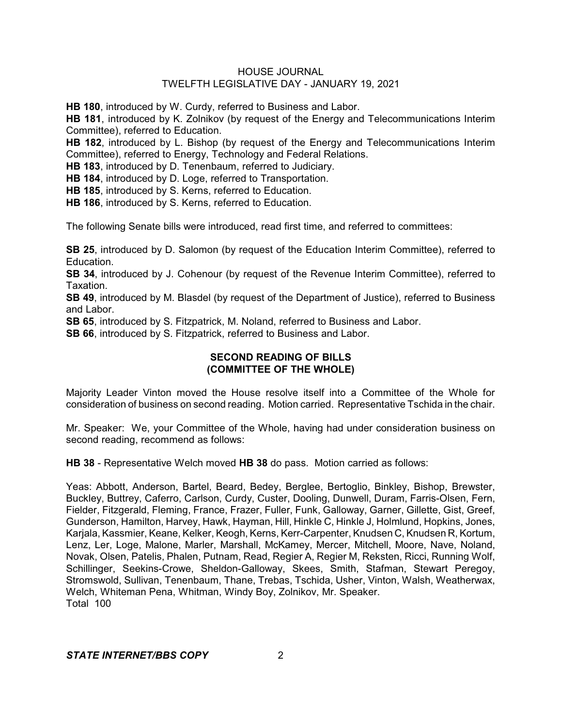**HB 180**, introduced by W. Curdy, referred to Business and Labor.

**HB 181**, introduced by K. Zolnikov (by request of the Energy and Telecommunications Interim Committee), referred to Education.

**HB 182**, introduced by L. Bishop (by request of the Energy and Telecommunications Interim Committee), referred to Energy, Technology and Federal Relations.

**HB 183**, introduced by D. Tenenbaum, referred to Judiciary.

**HB 184**, introduced by D. Loge, referred to Transportation.

**HB 185**, introduced by S. Kerns, referred to Education.

**HB 186**, introduced by S. Kerns, referred to Education.

The following Senate bills were introduced, read first time, and referred to committees:

**SB 25**, introduced by D. Salomon (by request of the Education Interim Committee), referred to Education.

**SB 34**, introduced by J. Cohenour (by request of the Revenue Interim Committee), referred to Taxation.

**SB 49**, introduced by M. Blasdel (by request of the Department of Justice), referred to Business and Labor.

**SB 65**, introduced by S. Fitzpatrick, M. Noland, referred to Business and Labor.

**SB 66**, introduced by S. Fitzpatrick, referred to Business and Labor.

## **SECOND READING OF BILLS (COMMITTEE OF THE WHOLE)**

Majority Leader Vinton moved the House resolve itself into a Committee of the Whole for consideration of business on second reading. Motion carried. Representative Tschida in the chair.

Mr. Speaker: We, your Committee of the Whole, having had under consideration business on second reading, recommend as follows:

**HB 38** - Representative Welch moved **HB 38** do pass. Motion carried as follows:

Yeas: Abbott, Anderson, Bartel, Beard, Bedey, Berglee, Bertoglio, Binkley, Bishop, Brewster, Buckley, Buttrey, Caferro, Carlson, Curdy, Custer, Dooling, Dunwell, Duram, Farris-Olsen, Fern, Fielder, Fitzgerald, Fleming, France, Frazer, Fuller, Funk, Galloway, Garner, Gillette, Gist, Greef, Gunderson, Hamilton, Harvey, Hawk, Hayman, Hill, Hinkle C, Hinkle J, Holmlund, Hopkins, Jones, Karjala, Kassmier, Keane, Kelker, Keogh, Kerns, Kerr-Carpenter, Knudsen C, Knudsen R, Kortum, Lenz, Ler, Loge, Malone, Marler, Marshall, McKamey, Mercer, Mitchell, Moore, Nave, Noland, Novak, Olsen, Patelis, Phalen, Putnam, Read, Regier A, Regier M, Reksten, Ricci, Running Wolf, Schillinger, Seekins-Crowe, Sheldon-Galloway, Skees, Smith, Stafman, Stewart Peregoy, Stromswold, Sullivan, Tenenbaum, Thane, Trebas, Tschida, Usher, Vinton, Walsh, Weatherwax, Welch, Whiteman Pena, Whitman, Windy Boy, Zolnikov, Mr. Speaker. Total 100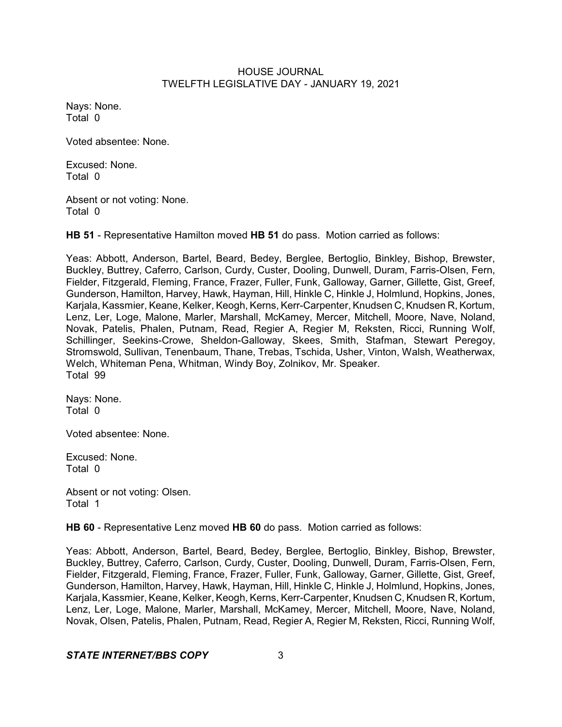Nays: None. Total 0

Voted absentee: None.

Excused: None. Total 0

Absent or not voting: None. Total 0

**HB 51** - Representative Hamilton moved **HB 51** do pass. Motion carried as follows:

Yeas: Abbott, Anderson, Bartel, Beard, Bedey, Berglee, Bertoglio, Binkley, Bishop, Brewster, Buckley, Buttrey, Caferro, Carlson, Curdy, Custer, Dooling, Dunwell, Duram, Farris-Olsen, Fern, Fielder, Fitzgerald, Fleming, France, Frazer, Fuller, Funk, Galloway, Garner, Gillette, Gist, Greef, Gunderson, Hamilton, Harvey, Hawk, Hayman, Hill, Hinkle C, Hinkle J, Holmlund, Hopkins, Jones, Karjala, Kassmier, Keane, Kelker, Keogh, Kerns, Kerr-Carpenter, Knudsen C, Knudsen R, Kortum, Lenz, Ler, Loge, Malone, Marler, Marshall, McKamey, Mercer, Mitchell, Moore, Nave, Noland, Novak, Patelis, Phalen, Putnam, Read, Regier A, Regier M, Reksten, Ricci, Running Wolf, Schillinger, Seekins-Crowe, Sheldon-Galloway, Skees, Smith, Stafman, Stewart Peregoy, Stromswold, Sullivan, Tenenbaum, Thane, Trebas, Tschida, Usher, Vinton, Walsh, Weatherwax, Welch, Whiteman Pena, Whitman, Windy Boy, Zolnikov, Mr. Speaker. Total 99

Nays: None. Total 0

Voted absentee: None.

Excused: None. Total 0

Absent or not voting: Olsen. Total 1

**HB 60** - Representative Lenz moved **HB 60** do pass. Motion carried as follows:

Yeas: Abbott, Anderson, Bartel, Beard, Bedey, Berglee, Bertoglio, Binkley, Bishop, Brewster, Buckley, Buttrey, Caferro, Carlson, Curdy, Custer, Dooling, Dunwell, Duram, Farris-Olsen, Fern, Fielder, Fitzgerald, Fleming, France, Frazer, Fuller, Funk, Galloway, Garner, Gillette, Gist, Greef, Gunderson, Hamilton, Harvey, Hawk, Hayman, Hill, Hinkle C, Hinkle J, Holmlund, Hopkins, Jones, Karjala, Kassmier, Keane, Kelker, Keogh, Kerns, Kerr-Carpenter, Knudsen C, Knudsen R, Kortum, Lenz, Ler, Loge, Malone, Marler, Marshall, McKamey, Mercer, Mitchell, Moore, Nave, Noland, Novak, Olsen, Patelis, Phalen, Putnam, Read, Regier A, Regier M, Reksten, Ricci, Running Wolf,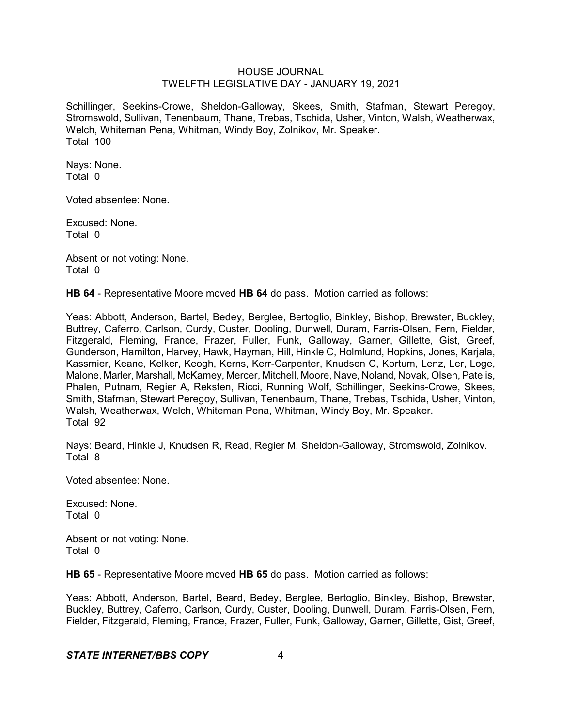Schillinger, Seekins-Crowe, Sheldon-Galloway, Skees, Smith, Stafman, Stewart Peregoy, Stromswold, Sullivan, Tenenbaum, Thane, Trebas, Tschida, Usher, Vinton, Walsh, Weatherwax, Welch, Whiteman Pena, Whitman, Windy Boy, Zolnikov, Mr. Speaker. Total 100

Nays: None. Total 0

Voted absentee: None.

Excused: None. Total 0

Absent or not voting: None. Total 0

**HB 64** - Representative Moore moved **HB 64** do pass. Motion carried as follows:

Yeas: Abbott, Anderson, Bartel, Bedey, Berglee, Bertoglio, Binkley, Bishop, Brewster, Buckley, Buttrey, Caferro, Carlson, Curdy, Custer, Dooling, Dunwell, Duram, Farris-Olsen, Fern, Fielder, Fitzgerald, Fleming, France, Frazer, Fuller, Funk, Galloway, Garner, Gillette, Gist, Greef, Gunderson, Hamilton, Harvey, Hawk, Hayman, Hill, Hinkle C, Holmlund, Hopkins, Jones, Karjala, Kassmier, Keane, Kelker, Keogh, Kerns, Kerr-Carpenter, Knudsen C, Kortum, Lenz, Ler, Loge, Malone, Marler, Marshall, McKamey, Mercer, Mitchell, Moore, Nave, Noland, Novak, Olsen, Patelis, Phalen, Putnam, Regier A, Reksten, Ricci, Running Wolf, Schillinger, Seekins-Crowe, Skees, Smith, Stafman, Stewart Peregoy, Sullivan, Tenenbaum, Thane, Trebas, Tschida, Usher, Vinton, Walsh, Weatherwax, Welch, Whiteman Pena, Whitman, Windy Boy, Mr. Speaker. Total 92

Nays: Beard, Hinkle J, Knudsen R, Read, Regier M, Sheldon-Galloway, Stromswold, Zolnikov. Total 8

Voted absentee: None.

Excused: None. Total 0

Absent or not voting: None. Total 0

**HB 65** - Representative Moore moved **HB 65** do pass. Motion carried as follows:

Yeas: Abbott, Anderson, Bartel, Beard, Bedey, Berglee, Bertoglio, Binkley, Bishop, Brewster, Buckley, Buttrey, Caferro, Carlson, Curdy, Custer, Dooling, Dunwell, Duram, Farris-Olsen, Fern, Fielder, Fitzgerald, Fleming, France, Frazer, Fuller, Funk, Galloway, Garner, Gillette, Gist, Greef,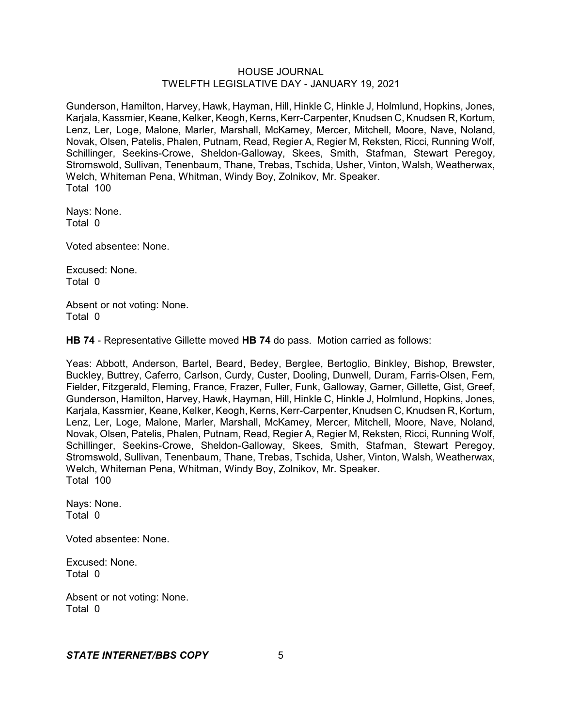Gunderson, Hamilton, Harvey, Hawk, Hayman, Hill, Hinkle C, Hinkle J, Holmlund, Hopkins, Jones, Karjala, Kassmier, Keane, Kelker, Keogh, Kerns, Kerr-Carpenter, Knudsen C, Knudsen R, Kortum, Lenz, Ler, Loge, Malone, Marler, Marshall, McKamey, Mercer, Mitchell, Moore, Nave, Noland, Novak, Olsen, Patelis, Phalen, Putnam, Read, Regier A, Regier M, Reksten, Ricci, Running Wolf, Schillinger, Seekins-Crowe, Sheldon-Galloway, Skees, Smith, Stafman, Stewart Peregoy, Stromswold, Sullivan, Tenenbaum, Thane, Trebas, Tschida, Usher, Vinton, Walsh, Weatherwax, Welch, Whiteman Pena, Whitman, Windy Boy, Zolnikov, Mr. Speaker. Total 100

Nays: None. Total 0

Voted absentee: None.

Excused: None. Total 0

Absent or not voting: None. Total 0

**HB 74** - Representative Gillette moved **HB 74** do pass. Motion carried as follows:

Yeas: Abbott, Anderson, Bartel, Beard, Bedey, Berglee, Bertoglio, Binkley, Bishop, Brewster, Buckley, Buttrey, Caferro, Carlson, Curdy, Custer, Dooling, Dunwell, Duram, Farris-Olsen, Fern, Fielder, Fitzgerald, Fleming, France, Frazer, Fuller, Funk, Galloway, Garner, Gillette, Gist, Greef, Gunderson, Hamilton, Harvey, Hawk, Hayman, Hill, Hinkle C, Hinkle J, Holmlund, Hopkins, Jones, Karjala, Kassmier, Keane, Kelker, Keogh, Kerns, Kerr-Carpenter, Knudsen C, Knudsen R, Kortum, Lenz, Ler, Loge, Malone, Marler, Marshall, McKamey, Mercer, Mitchell, Moore, Nave, Noland, Novak, Olsen, Patelis, Phalen, Putnam, Read, Regier A, Regier M, Reksten, Ricci, Running Wolf, Schillinger, Seekins-Crowe, Sheldon-Galloway, Skees, Smith, Stafman, Stewart Peregoy, Stromswold, Sullivan, Tenenbaum, Thane, Trebas, Tschida, Usher, Vinton, Walsh, Weatherwax, Welch, Whiteman Pena, Whitman, Windy Boy, Zolnikov, Mr. Speaker. Total 100

Nays: None. Total 0

Voted absentee: None.

Excused: None. Total 0

Absent or not voting: None. Total 0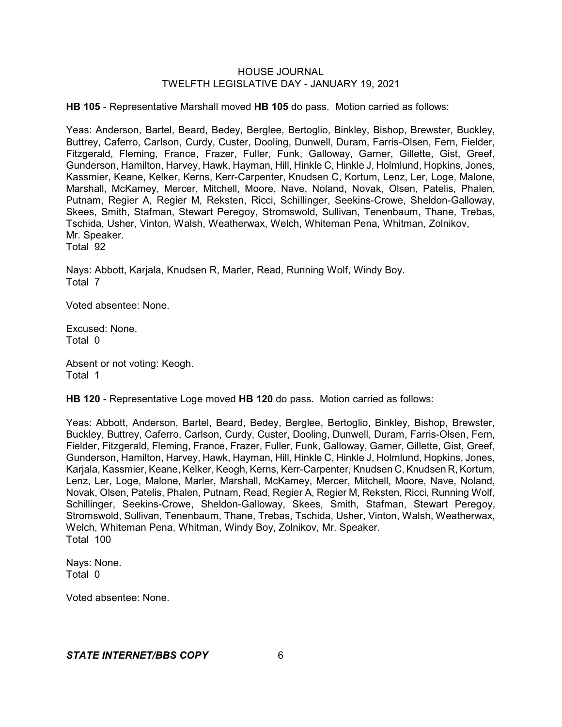**HB 105** - Representative Marshall moved **HB 105** do pass. Motion carried as follows:

Yeas: Anderson, Bartel, Beard, Bedey, Berglee, Bertoglio, Binkley, Bishop, Brewster, Buckley, Buttrey, Caferro, Carlson, Curdy, Custer, Dooling, Dunwell, Duram, Farris-Olsen, Fern, Fielder, Fitzgerald, Fleming, France, Frazer, Fuller, Funk, Galloway, Garner, Gillette, Gist, Greef, Gunderson, Hamilton, Harvey, Hawk, Hayman, Hill, Hinkle C, Hinkle J, Holmlund, Hopkins, Jones, Kassmier, Keane, Kelker, Kerns, Kerr-Carpenter, Knudsen C, Kortum, Lenz, Ler, Loge, Malone, Marshall, McKamey, Mercer, Mitchell, Moore, Nave, Noland, Novak, Olsen, Patelis, Phalen, Putnam, Regier A, Regier M, Reksten, Ricci, Schillinger, Seekins-Crowe, Sheldon-Galloway, Skees, Smith, Stafman, Stewart Peregoy, Stromswold, Sullivan, Tenenbaum, Thane, Trebas, Tschida, Usher, Vinton, Walsh, Weatherwax, Welch, Whiteman Pena, Whitman, Zolnikov, Mr. Speaker.

Total 92

Nays: Abbott, Karjala, Knudsen R, Marler, Read, Running Wolf, Windy Boy. Total 7

Voted absentee: None.

Excused: None. Total 0

Absent or not voting: Keogh. Total 1

**HB 120** - Representative Loge moved **HB 120** do pass. Motion carried as follows:

Yeas: Abbott, Anderson, Bartel, Beard, Bedey, Berglee, Bertoglio, Binkley, Bishop, Brewster, Buckley, Buttrey, Caferro, Carlson, Curdy, Custer, Dooling, Dunwell, Duram, Farris-Olsen, Fern, Fielder, Fitzgerald, Fleming, France, Frazer, Fuller, Funk, Galloway, Garner, Gillette, Gist, Greef, Gunderson, Hamilton, Harvey, Hawk, Hayman, Hill, Hinkle C, Hinkle J, Holmlund, Hopkins, Jones, Karjala, Kassmier, Keane, Kelker, Keogh, Kerns, Kerr-Carpenter, Knudsen C, Knudsen R, Kortum, Lenz, Ler, Loge, Malone, Marler, Marshall, McKamey, Mercer, Mitchell, Moore, Nave, Noland, Novak, Olsen, Patelis, Phalen, Putnam, Read, Regier A, Regier M, Reksten, Ricci, Running Wolf, Schillinger, Seekins-Crowe, Sheldon-Galloway, Skees, Smith, Stafman, Stewart Peregoy, Stromswold, Sullivan, Tenenbaum, Thane, Trebas, Tschida, Usher, Vinton, Walsh, Weatherwax, Welch, Whiteman Pena, Whitman, Windy Boy, Zolnikov, Mr. Speaker. Total 100

Nays: None. Total 0

Voted absentee: None.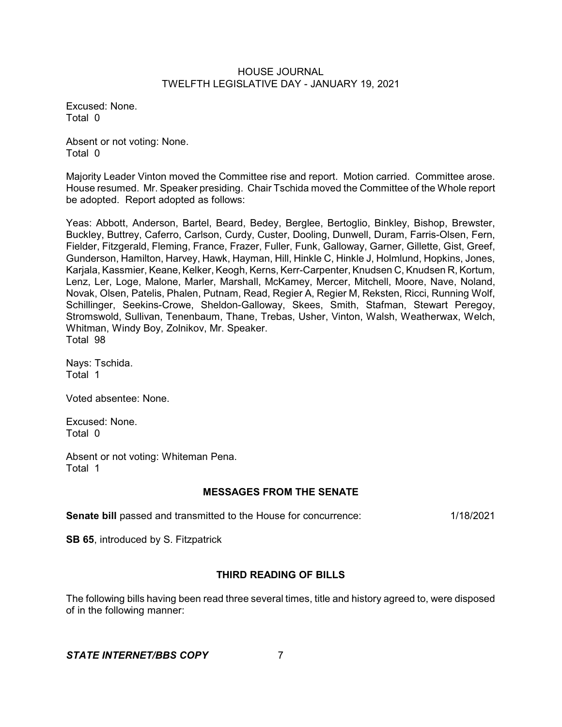Excused: None. Total 0

Absent or not voting: None. Total 0

Majority Leader Vinton moved the Committee rise and report. Motion carried. Committee arose. House resumed. Mr. Speaker presiding. Chair Tschida moved the Committee of the Whole report be adopted. Report adopted as follows:

Yeas: Abbott, Anderson, Bartel, Beard, Bedey, Berglee, Bertoglio, Binkley, Bishop, Brewster, Buckley, Buttrey, Caferro, Carlson, Curdy, Custer, Dooling, Dunwell, Duram, Farris-Olsen, Fern, Fielder, Fitzgerald, Fleming, France, Frazer, Fuller, Funk, Galloway, Garner, Gillette, Gist, Greef, Gunderson, Hamilton, Harvey, Hawk, Hayman, Hill, Hinkle C, Hinkle J, Holmlund, Hopkins, Jones, Karjala, Kassmier, Keane, Kelker, Keogh, Kerns, Kerr-Carpenter, Knudsen C, Knudsen R, Kortum, Lenz, Ler, Loge, Malone, Marler, Marshall, McKamey, Mercer, Mitchell, Moore, Nave, Noland, Novak, Olsen, Patelis, Phalen, Putnam, Read, Regier A, Regier M, Reksten, Ricci, Running Wolf, Schillinger, Seekins-Crowe, Sheldon-Galloway, Skees, Smith, Stafman, Stewart Peregoy, Stromswold, Sullivan, Tenenbaum, Thane, Trebas, Usher, Vinton, Walsh, Weatherwax, Welch, Whitman, Windy Boy, Zolnikov, Mr. Speaker. Total 98

Nays: Tschida. Total 1

Voted absentee: None.

Excused: None. Total 0

Absent or not voting: Whiteman Pena. Total 1

# **MESSAGES FROM THE SENATE**

**Senate bill** passed and transmitted to the House for concurrence: 1/18/2021

**SB 65**, introduced by S. Fitzpatrick

# **THIRD READING OF BILLS**

The following bills having been read three several times, title and history agreed to, were disposed of in the following manner: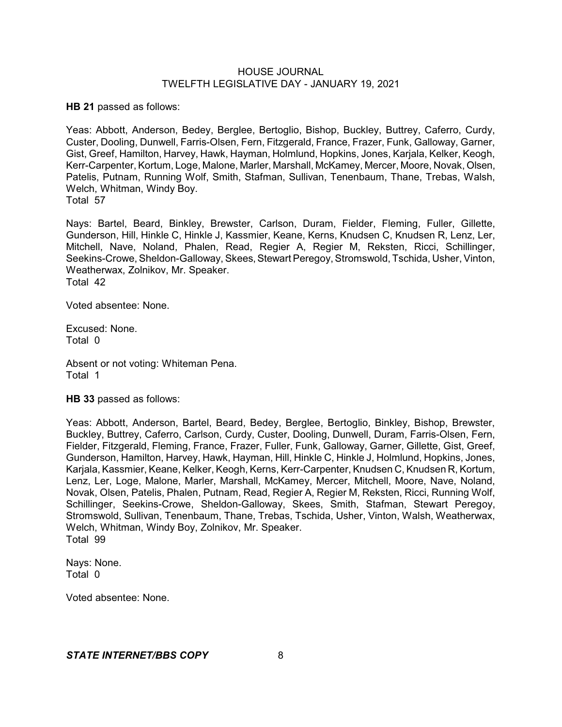**HB 21** passed as follows:

Yeas: Abbott, Anderson, Bedey, Berglee, Bertoglio, Bishop, Buckley, Buttrey, Caferro, Curdy, Custer, Dooling, Dunwell, Farris-Olsen, Fern, Fitzgerald, France, Frazer, Funk, Galloway, Garner, Gist, Greef, Hamilton, Harvey, Hawk, Hayman, Holmlund, Hopkins, Jones, Karjala, Kelker, Keogh, Kerr-Carpenter, Kortum, Loge, Malone, Marler, Marshall, McKamey, Mercer, Moore, Novak, Olsen, Patelis, Putnam, Running Wolf, Smith, Stafman, Sullivan, Tenenbaum, Thane, Trebas, Walsh, Welch, Whitman, Windy Boy. Total 57

Nays: Bartel, Beard, Binkley, Brewster, Carlson, Duram, Fielder, Fleming, Fuller, Gillette, Gunderson, Hill, Hinkle C, Hinkle J, Kassmier, Keane, Kerns, Knudsen C, Knudsen R, Lenz, Ler, Mitchell, Nave, Noland, Phalen, Read, Regier A, Regier M, Reksten, Ricci, Schillinger, Seekins-Crowe, Sheldon-Galloway, Skees, Stewart Peregoy, Stromswold, Tschida, Usher, Vinton, Weatherwax, Zolnikov, Mr. Speaker. Total 42

Voted absentee: None.

Excused: None. Total 0

Absent or not voting: Whiteman Pena. Total 1

**HB 33** passed as follows:

Yeas: Abbott, Anderson, Bartel, Beard, Bedey, Berglee, Bertoglio, Binkley, Bishop, Brewster, Buckley, Buttrey, Caferro, Carlson, Curdy, Custer, Dooling, Dunwell, Duram, Farris-Olsen, Fern, Fielder, Fitzgerald, Fleming, France, Frazer, Fuller, Funk, Galloway, Garner, Gillette, Gist, Greef, Gunderson, Hamilton, Harvey, Hawk, Hayman, Hill, Hinkle C, Hinkle J, Holmlund, Hopkins, Jones, Karjala, Kassmier, Keane, Kelker, Keogh, Kerns, Kerr-Carpenter, Knudsen C, Knudsen R, Kortum, Lenz, Ler, Loge, Malone, Marler, Marshall, McKamey, Mercer, Mitchell, Moore, Nave, Noland, Novak, Olsen, Patelis, Phalen, Putnam, Read, Regier A, Regier M, Reksten, Ricci, Running Wolf, Schillinger, Seekins-Crowe, Sheldon-Galloway, Skees, Smith, Stafman, Stewart Peregoy, Stromswold, Sullivan, Tenenbaum, Thane, Trebas, Tschida, Usher, Vinton, Walsh, Weatherwax, Welch, Whitman, Windy Boy, Zolnikov, Mr. Speaker. Total 99

Nays: None. Total 0

Voted absentee: None.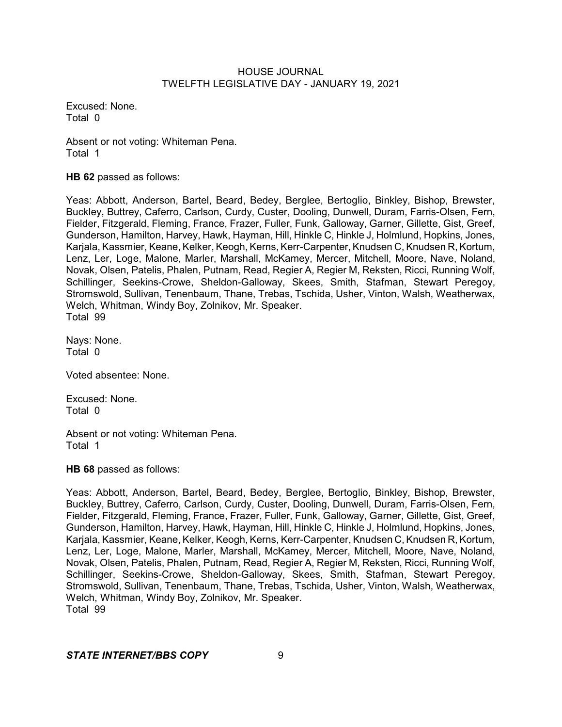Excused: None. Total 0

Absent or not voting: Whiteman Pena. Total 1

**HB 62** passed as follows:

Yeas: Abbott, Anderson, Bartel, Beard, Bedey, Berglee, Bertoglio, Binkley, Bishop, Brewster, Buckley, Buttrey, Caferro, Carlson, Curdy, Custer, Dooling, Dunwell, Duram, Farris-Olsen, Fern, Fielder, Fitzgerald, Fleming, France, Frazer, Fuller, Funk, Galloway, Garner, Gillette, Gist, Greef, Gunderson, Hamilton, Harvey, Hawk, Hayman, Hill, Hinkle C, Hinkle J, Holmlund, Hopkins, Jones, Karjala, Kassmier, Keane, Kelker, Keogh, Kerns, Kerr-Carpenter, Knudsen C, Knudsen R, Kortum, Lenz, Ler, Loge, Malone, Marler, Marshall, McKamey, Mercer, Mitchell, Moore, Nave, Noland, Novak, Olsen, Patelis, Phalen, Putnam, Read, Regier A, Regier M, Reksten, Ricci, Running Wolf, Schillinger, Seekins-Crowe, Sheldon-Galloway, Skees, Smith, Stafman, Stewart Peregoy, Stromswold, Sullivan, Tenenbaum, Thane, Trebas, Tschida, Usher, Vinton, Walsh, Weatherwax, Welch, Whitman, Windy Boy, Zolnikov, Mr. Speaker. Total 99

Nays: None. Total 0

Voted absentee: None.

Excused: None. Total 0

Absent or not voting: Whiteman Pena. Total 1

**HB 68** passed as follows:

Yeas: Abbott, Anderson, Bartel, Beard, Bedey, Berglee, Bertoglio, Binkley, Bishop, Brewster, Buckley, Buttrey, Caferro, Carlson, Curdy, Custer, Dooling, Dunwell, Duram, Farris-Olsen, Fern, Fielder, Fitzgerald, Fleming, France, Frazer, Fuller, Funk, Galloway, Garner, Gillette, Gist, Greef, Gunderson, Hamilton, Harvey, Hawk, Hayman, Hill, Hinkle C, Hinkle J, Holmlund, Hopkins, Jones, Karjala, Kassmier, Keane, Kelker, Keogh, Kerns, Kerr-Carpenter, Knudsen C, Knudsen R, Kortum, Lenz, Ler, Loge, Malone, Marler, Marshall, McKamey, Mercer, Mitchell, Moore, Nave, Noland, Novak, Olsen, Patelis, Phalen, Putnam, Read, Regier A, Regier M, Reksten, Ricci, Running Wolf, Schillinger, Seekins-Crowe, Sheldon-Galloway, Skees, Smith, Stafman, Stewart Peregoy, Stromswold, Sullivan, Tenenbaum, Thane, Trebas, Tschida, Usher, Vinton, Walsh, Weatherwax, Welch, Whitman, Windy Boy, Zolnikov, Mr. Speaker. Total 99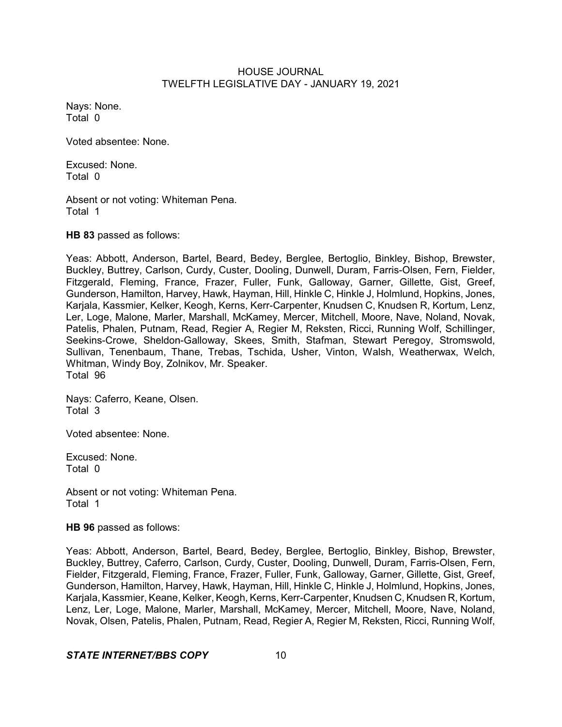Nays: None. Total 0

Voted absentee: None.

Excused: None. Total 0

Absent or not voting: Whiteman Pena. Total 1

**HB 83** passed as follows:

Yeas: Abbott, Anderson, Bartel, Beard, Bedey, Berglee, Bertoglio, Binkley, Bishop, Brewster, Buckley, Buttrey, Carlson, Curdy, Custer, Dooling, Dunwell, Duram, Farris-Olsen, Fern, Fielder, Fitzgerald, Fleming, France, Frazer, Fuller, Funk, Galloway, Garner, Gillette, Gist, Greef, Gunderson, Hamilton, Harvey, Hawk, Hayman, Hill, Hinkle C, Hinkle J, Holmlund, Hopkins, Jones, Karjala, Kassmier, Kelker, Keogh, Kerns, Kerr-Carpenter, Knudsen C, Knudsen R, Kortum, Lenz, Ler, Loge, Malone, Marler, Marshall, McKamey, Mercer, Mitchell, Moore, Nave, Noland, Novak, Patelis, Phalen, Putnam, Read, Regier A, Regier M, Reksten, Ricci, Running Wolf, Schillinger, Seekins-Crowe, Sheldon-Galloway, Skees, Smith, Stafman, Stewart Peregoy, Stromswold, Sullivan, Tenenbaum, Thane, Trebas, Tschida, Usher, Vinton, Walsh, Weatherwax, Welch, Whitman, Windy Boy, Zolnikov, Mr. Speaker. Total 96

Nays: Caferro, Keane, Olsen. Total 3

Voted absentee: None.

Excused: None. Total 0

Absent or not voting: Whiteman Pena. Total 1

**HB 96** passed as follows:

Yeas: Abbott, Anderson, Bartel, Beard, Bedey, Berglee, Bertoglio, Binkley, Bishop, Brewster, Buckley, Buttrey, Caferro, Carlson, Curdy, Custer, Dooling, Dunwell, Duram, Farris-Olsen, Fern, Fielder, Fitzgerald, Fleming, France, Frazer, Fuller, Funk, Galloway, Garner, Gillette, Gist, Greef, Gunderson, Hamilton, Harvey, Hawk, Hayman, Hill, Hinkle C, Hinkle J, Holmlund, Hopkins, Jones, Karjala, Kassmier, Keane, Kelker, Keogh, Kerns, Kerr-Carpenter, Knudsen C, Knudsen R, Kortum, Lenz, Ler, Loge, Malone, Marler, Marshall, McKamey, Mercer, Mitchell, Moore, Nave, Noland, Novak, Olsen, Patelis, Phalen, Putnam, Read, Regier A, Regier M, Reksten, Ricci, Running Wolf,